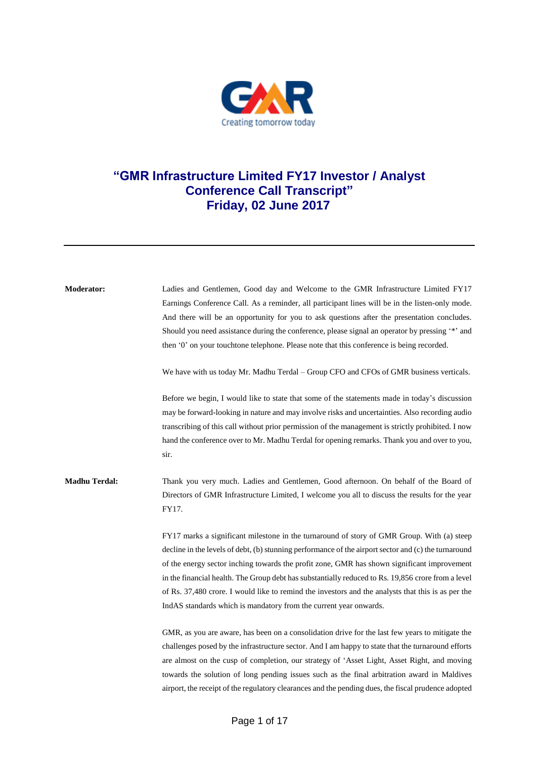

## **"GMR Infrastructure Limited FY17 Investor / Analyst Conference Call Transcript" Friday, 02 June 2017**

| Moderator:           | Ladies and Gentlemen, Good day and Welcome to the GMR Infrastructure Limited FY17<br>Earnings Conference Call. As a reminder, all participant lines will be in the listen-only mode.<br>And there will be an opportunity for you to ask questions after the presentation concludes.<br>Should you need assistance during the conference, please signal an operator by pressing '*' and<br>then '0' on your touchtone telephone. Please note that this conference is being recorded.                                                                                                |
|----------------------|------------------------------------------------------------------------------------------------------------------------------------------------------------------------------------------------------------------------------------------------------------------------------------------------------------------------------------------------------------------------------------------------------------------------------------------------------------------------------------------------------------------------------------------------------------------------------------|
|                      | We have with us today Mr. Madhu Terdal – Group CFO and CFOs of GMR business verticals.                                                                                                                                                                                                                                                                                                                                                                                                                                                                                             |
|                      | Before we begin, I would like to state that some of the statements made in today's discussion<br>may be forward-looking in nature and may involve risks and uncertainties. Also recording audio<br>transcribing of this call without prior permission of the management is strictly prohibited. I now<br>hand the conference over to Mr. Madhu Terdal for opening remarks. Thank you and over to you,<br>sir.                                                                                                                                                                      |
| <b>Madhu Terdal:</b> | Thank you very much. Ladies and Gentlemen, Good afternoon. On behalf of the Board of<br>Directors of GMR Infrastructure Limited, I welcome you all to discuss the results for the year<br>FY17.                                                                                                                                                                                                                                                                                                                                                                                    |
|                      | FY17 marks a significant milestone in the turnaround of story of GMR Group. With (a) steep<br>decline in the levels of debt, (b) stunning performance of the airport sector and (c) the turnaround<br>of the energy sector inching towards the profit zone, GMR has shown significant improvement<br>in the financial health. The Group debt has substantially reduced to Rs. 19,856 crore from a level<br>of Rs. 37,480 crore. I would like to remind the investors and the analysts that this is as per the<br>IndAS standards which is mandatory from the current year onwards. |
|                      | GMR, as you are aware, has been on a consolidation drive for the last few years to mitigate the<br>challenges posed by the infrastructure sector. And I am happy to state that the turnaround efforts<br>are almost on the cusp of completion, our strategy of 'Asset Light, Asset Right, and moving<br>towards the solution of long pending issues such as the final arbitration award in Maldives<br>airport, the receipt of the regulatory clearances and the pending dues, the fiscal prudence adopted                                                                         |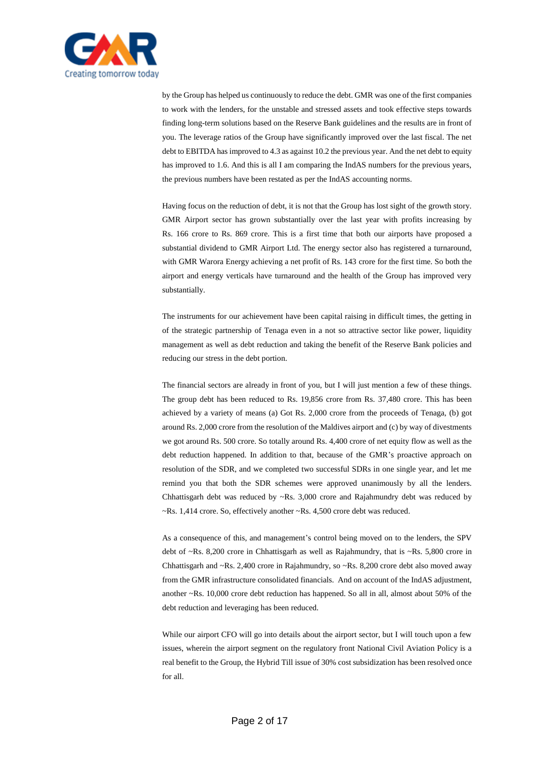

by the Group has helped us continuously to reduce the debt. GMR was one of the first companies to work with the lenders, for the unstable and stressed assets and took effective steps towards finding long-term solutions based on the Reserve Bank guidelines and the results are in front of you. The leverage ratios of the Group have significantly improved over the last fiscal. The net debt to EBITDA has improved to 4.3 as against 10.2 the previous year. And the net debt to equity has improved to 1.6. And this is all I am comparing the IndAS numbers for the previous years, the previous numbers have been restated as per the IndAS accounting norms.

Having focus on the reduction of debt, it is not that the Group has lost sight of the growth story. GMR Airport sector has grown substantially over the last year with profits increasing by Rs. 166 crore to Rs. 869 crore. This is a first time that both our airports have proposed a substantial dividend to GMR Airport Ltd. The energy sector also has registered a turnaround, with GMR Warora Energy achieving a net profit of Rs. 143 crore for the first time. So both the airport and energy verticals have turnaround and the health of the Group has improved very substantially.

The instruments for our achievement have been capital raising in difficult times, the getting in of the strategic partnership of Tenaga even in a not so attractive sector like power, liquidity management as well as debt reduction and taking the benefit of the Reserve Bank policies and reducing our stress in the debt portion.

The financial sectors are already in front of you, but I will just mention a few of these things. The group debt has been reduced to Rs. 19,856 crore from Rs. 37,480 crore. This has been achieved by a variety of means (a) Got Rs. 2,000 crore from the proceeds of Tenaga, (b) got around Rs. 2,000 crore from the resolution of the Maldives airport and (c) by way of divestments we got around Rs. 500 crore. So totally around Rs. 4,400 crore of net equity flow as well as the debt reduction happened. In addition to that, because of the GMR's proactive approach on resolution of the SDR, and we completed two successful SDRs in one single year, and let me remind you that both the SDR schemes were approved unanimously by all the lenders. Chhattisgarh debt was reduced by ~Rs. 3,000 crore and Rajahmundry debt was reduced by ~Rs. 1,414 crore. So, effectively another ~Rs. 4,500 crore debt was reduced.

As a consequence of this, and management's control being moved on to the lenders, the SPV debt of ~Rs. 8,200 crore in Chhattisgarh as well as Rajahmundry, that is ~Rs. 5,800 crore in Chhattisgarh and ~Rs. 2,400 crore in Rajahmundry, so ~Rs. 8,200 crore debt also moved away from the GMR infrastructure consolidated financials. And on account of the IndAS adjustment, another ~Rs. 10,000 crore debt reduction has happened. So all in all, almost about 50% of the debt reduction and leveraging has been reduced.

While our airport CFO will go into details about the airport sector, but I will touch upon a few issues, wherein the airport segment on the regulatory front National Civil Aviation Policy is a real benefit to the Group, the Hybrid Till issue of 30% cost subsidization has been resolved once for all.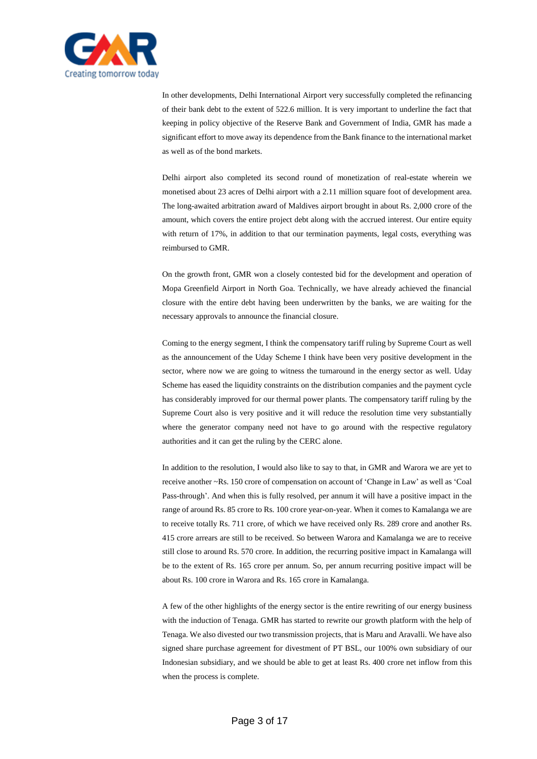

In other developments, Delhi International Airport very successfully completed the refinancing of their bank debt to the extent of 522.6 million. It is very important to underline the fact that keeping in policy objective of the Reserve Bank and Government of India, GMR has made a significant effort to move away its dependence from the Bank finance to the international market as well as of the bond markets.

Delhi airport also completed its second round of monetization of real-estate wherein we monetised about 23 acres of Delhi airport with a 2.11 million square foot of development area. The long-awaited arbitration award of Maldives airport brought in about Rs. 2,000 crore of the amount, which covers the entire project debt along with the accrued interest. Our entire equity with return of 17%, in addition to that our termination payments, legal costs, everything was reimbursed to GMR.

On the growth front, GMR won a closely contested bid for the development and operation of Mopa Greenfield Airport in North Goa. Technically, we have already achieved the financial closure with the entire debt having been underwritten by the banks, we are waiting for the necessary approvals to announce the financial closure.

Coming to the energy segment, I think the compensatory tariff ruling by Supreme Court as well as the announcement of the Uday Scheme I think have been very positive development in the sector, where now we are going to witness the turnaround in the energy sector as well. Uday Scheme has eased the liquidity constraints on the distribution companies and the payment cycle has considerably improved for our thermal power plants. The compensatory tariff ruling by the Supreme Court also is very positive and it will reduce the resolution time very substantially where the generator company need not have to go around with the respective regulatory authorities and it can get the ruling by the CERC alone.

In addition to the resolution, I would also like to say to that, in GMR and Warora we are yet to receive another ~Rs. 150 crore of compensation on account of 'Change in Law' as well as 'Coal Pass-through'. And when this is fully resolved, per annum it will have a positive impact in the range of around Rs. 85 crore to Rs. 100 crore year-on-year. When it comes to Kamalanga we are to receive totally Rs. 711 crore, of which we have received only Rs. 289 crore and another Rs. 415 crore arrears are still to be received. So between Warora and Kamalanga we are to receive still close to around Rs. 570 crore. In addition, the recurring positive impact in Kamalanga will be to the extent of Rs. 165 crore per annum. So, per annum recurring positive impact will be about Rs. 100 crore in Warora and Rs. 165 crore in Kamalanga.

A few of the other highlights of the energy sector is the entire rewriting of our energy business with the induction of Tenaga. GMR has started to rewrite our growth platform with the help of Tenaga. We also divested our two transmission projects, that is Maru and Aravalli. We have also signed share purchase agreement for divestment of PT BSL, our 100% own subsidiary of our Indonesian subsidiary, and we should be able to get at least Rs. 400 crore net inflow from this when the process is complete.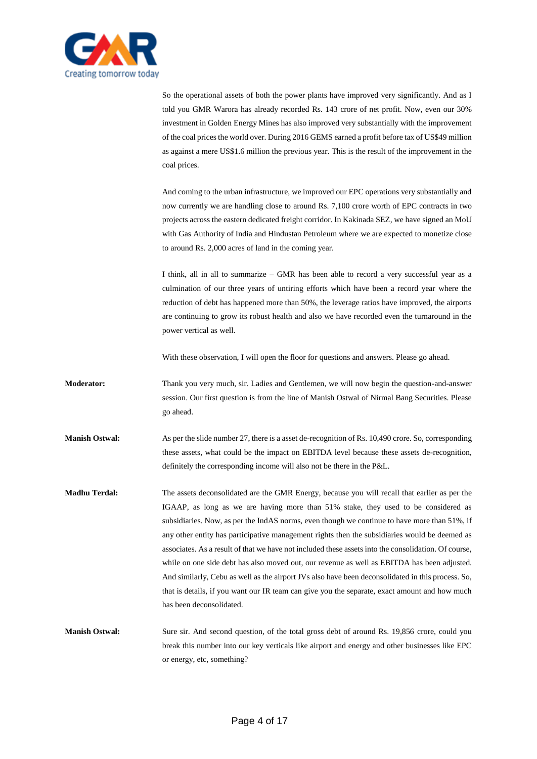

So the operational assets of both the power plants have improved very significantly. And as I told you GMR Warora has already recorded Rs. 143 crore of net profit. Now, even our 30% investment in Golden Energy Mines has also improved very substantially with the improvement of the coal prices the world over. During 2016 GEMS earned a profit before tax of US\$49 million as against a mere US\$1.6 million the previous year. This is the result of the improvement in the coal prices.

And coming to the urban infrastructure, we improved our EPC operations very substantially and now currently we are handling close to around Rs. 7,100 crore worth of EPC contracts in two projects across the eastern dedicated freight corridor. In Kakinada SEZ, we have signed an MoU with Gas Authority of India and Hindustan Petroleum where we are expected to monetize close to around Rs. 2,000 acres of land in the coming year.

I think, all in all to summarize – GMR has been able to record a very successful year as a culmination of our three years of untiring efforts which have been a record year where the reduction of debt has happened more than 50%, the leverage ratios have improved, the airports are continuing to grow its robust health and also we have recorded even the turnaround in the power vertical as well.

With these observation, I will open the floor for questions and answers. Please go ahead.

**Moderator:** Thank you very much, sir. Ladies and Gentlemen, we will now begin the question-and-answer session. Our first question is from the line of Manish Ostwal of Nirmal Bang Securities. Please go ahead.

**Manish Ostwal:** As per the slide number 27, there is a asset de-recognition of Rs. 10,490 crore. So, corresponding these assets, what could be the impact on EBITDA level because these assets de-recognition, definitely the corresponding income will also not be there in the P&L.

**Madhu Terdal:** The assets deconsolidated are the GMR Energy, because you will recall that earlier as per the IGAAP, as long as we are having more than 51% stake, they used to be considered as subsidiaries. Now, as per the IndAS norms, even though we continue to have more than 51%, if any other entity has participative management rights then the subsidiaries would be deemed as associates. As a result of that we have not included these assets into the consolidation. Of course, while on one side debt has also moved out, our revenue as well as EBITDA has been adjusted. And similarly, Cebu as well as the airport JVs also have been deconsolidated in this process. So, that is details, if you want our IR team can give you the separate, exact amount and how much has been deconsolidated.

**Manish Ostwal:** Sure sir. And second question, of the total gross debt of around Rs. 19,856 crore, could you break this number into our key verticals like airport and energy and other businesses like EPC or energy, etc, something?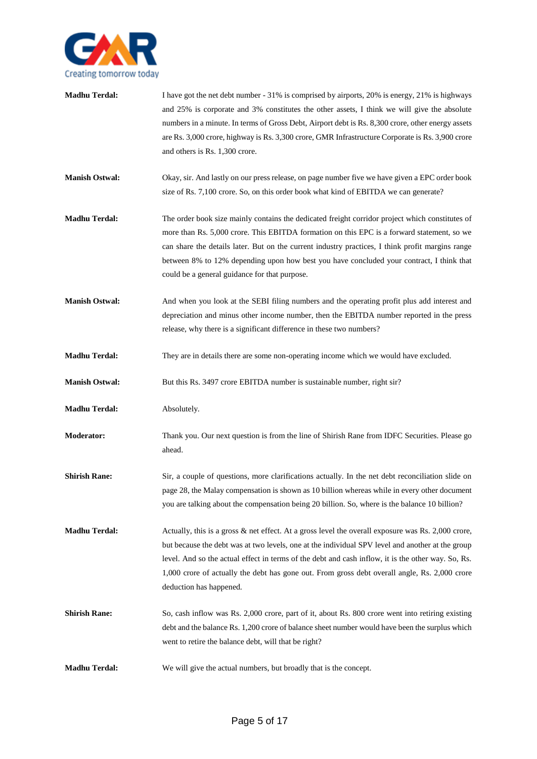

| <b>Madhu Terdal:</b>  | I have got the net debt number - 31% is comprised by airports, 20% is energy, 21% is highways<br>and 25% is corporate and 3% constitutes the other assets, I think we will give the absolute<br>numbers in a minute. In terms of Gross Debt, Airport debt is Rs. 8,300 crore, other energy assets<br>are Rs. 3,000 crore, highway is Rs. 3,300 crore, GMR Infrastructure Corporate is Rs. 3,900 crore<br>and others is Rs. 1,300 crore.        |
|-----------------------|------------------------------------------------------------------------------------------------------------------------------------------------------------------------------------------------------------------------------------------------------------------------------------------------------------------------------------------------------------------------------------------------------------------------------------------------|
| <b>Manish Ostwal:</b> | Okay, sir. And lastly on our press release, on page number five we have given a EPC order book<br>size of Rs. 7,100 crore. So, on this order book what kind of EBITDA we can generate?                                                                                                                                                                                                                                                         |
| <b>Madhu Terdal:</b>  | The order book size mainly contains the dedicated freight corridor project which constitutes of<br>more than Rs. 5,000 crore. This EBITDA formation on this EPC is a forward statement, so we<br>can share the details later. But on the current industry practices, I think profit margins range<br>between 8% to 12% depending upon how best you have concluded your contract, I think that<br>could be a general guidance for that purpose. |
| <b>Manish Ostwal:</b> | And when you look at the SEBI filing numbers and the operating profit plus add interest and<br>depreciation and minus other income number, then the EBITDA number reported in the press<br>release, why there is a significant difference in these two numbers?                                                                                                                                                                                |
| <b>Madhu Terdal:</b>  | They are in details there are some non-operating income which we would have excluded.                                                                                                                                                                                                                                                                                                                                                          |
| <b>Manish Ostwal:</b> | But this Rs. 3497 crore EBITDA number is sustainable number, right sir?                                                                                                                                                                                                                                                                                                                                                                        |
| <b>Madhu Terdal:</b>  | Absolutely.                                                                                                                                                                                                                                                                                                                                                                                                                                    |
| <b>Moderator:</b>     | Thank you. Our next question is from the line of Shirish Rane from IDFC Securities. Please go<br>ahead.                                                                                                                                                                                                                                                                                                                                        |
| <b>Shirish Rane:</b>  | Sir, a couple of questions, more clarifications actually. In the net debt reconciliation slide on<br>page 28, the Malay compensation is shown as 10 billion whereas while in every other document<br>you are talking about the compensation being 20 billion. So, where is the balance 10 billion?                                                                                                                                             |
| <b>Madhu Terdal:</b>  | Actually, this is a gross & net effect. At a gross level the overall exposure was Rs. 2,000 crore,<br>but because the debt was at two levels, one at the individual SPV level and another at the group<br>level. And so the actual effect in terms of the debt and cash inflow, it is the other way. So, Rs.<br>1,000 crore of actually the debt has gone out. From gross debt overall angle, Rs. 2,000 crore<br>deduction has happened.       |
| <b>Shirish Rane:</b>  | So, cash inflow was Rs. 2,000 crore, part of it, about Rs. 800 crore went into retiring existing<br>debt and the balance Rs. 1,200 crore of balance sheet number would have been the surplus which<br>went to retire the balance debt, will that be right?                                                                                                                                                                                     |
| <b>Madhu Terdal:</b>  | We will give the actual numbers, but broadly that is the concept.                                                                                                                                                                                                                                                                                                                                                                              |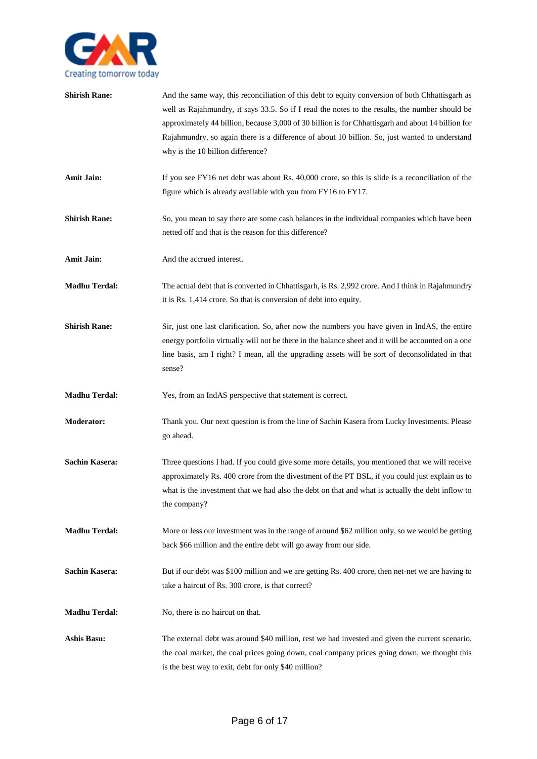

| <b>Shirish Rane:</b>  | And the same way, this reconciliation of this debt to equity conversion of both Chhattisgarh as<br>well as Rajahmundry, it says 33.5. So if I read the notes to the results, the number should be<br>approximately 44 billion, because 3,000 of 30 billion is for Chhattisgarh and about 14 billion for<br>Rajahmundry, so again there is a difference of about 10 billion. So, just wanted to understand<br>why is the 10 billion difference? |
|-----------------------|------------------------------------------------------------------------------------------------------------------------------------------------------------------------------------------------------------------------------------------------------------------------------------------------------------------------------------------------------------------------------------------------------------------------------------------------|
| <b>Amit Jain:</b>     | If you see FY16 net debt was about Rs. 40,000 crore, so this is slide is a reconciliation of the<br>figure which is already available with you from FY16 to FY17.                                                                                                                                                                                                                                                                              |
| <b>Shirish Rane:</b>  | So, you mean to say there are some cash balances in the individual companies which have been<br>netted off and that is the reason for this difference?                                                                                                                                                                                                                                                                                         |
| <b>Amit Jain:</b>     | And the accrued interest.                                                                                                                                                                                                                                                                                                                                                                                                                      |
| <b>Madhu Terdal:</b>  | The actual debt that is converted in Chhattisgarh, is Rs. 2,992 crore. And I think in Rajahmundry<br>it is Rs. 1,414 crore. So that is conversion of debt into equity.                                                                                                                                                                                                                                                                         |
| <b>Shirish Rane:</b>  | Sir, just one last clarification. So, after now the numbers you have given in IndAS, the entire<br>energy portfolio virtually will not be there in the balance sheet and it will be accounted on a one<br>line basis, am I right? I mean, all the upgrading assets will be sort of deconsolidated in that<br>sense?                                                                                                                            |
| <b>Madhu Terdal:</b>  | Yes, from an IndAS perspective that statement is correct.                                                                                                                                                                                                                                                                                                                                                                                      |
| Moderator:            | Thank you. Our next question is from the line of Sachin Kasera from Lucky Investments. Please<br>go ahead.                                                                                                                                                                                                                                                                                                                                     |
| <b>Sachin Kasera:</b> | Three questions I had. If you could give some more details, you mentioned that we will receive<br>approximately Rs. 400 crore from the divestment of the PT BSL, if you could just explain us to<br>what is the investment that we had also the debt on that and what is actually the debt inflow to<br>the company?                                                                                                                           |
| <b>Madhu Terdal:</b>  | More or less our investment was in the range of around \$62 million only, so we would be getting<br>back \$66 million and the entire debt will go away from our side.                                                                                                                                                                                                                                                                          |
| <b>Sachin Kasera:</b> | But if our debt was \$100 million and we are getting Rs. 400 crore, then net-net we are having to<br>take a haircut of Rs. 300 crore, is that correct?                                                                                                                                                                                                                                                                                         |
| <b>Madhu Terdal:</b>  | No, there is no haircut on that.                                                                                                                                                                                                                                                                                                                                                                                                               |
| <b>Ashis Basu:</b>    | The external debt was around \$40 million, rest we had invested and given the current scenario,<br>the coal market, the coal prices going down, coal company prices going down, we thought this<br>is the best way to exit, debt for only \$40 million?                                                                                                                                                                                        |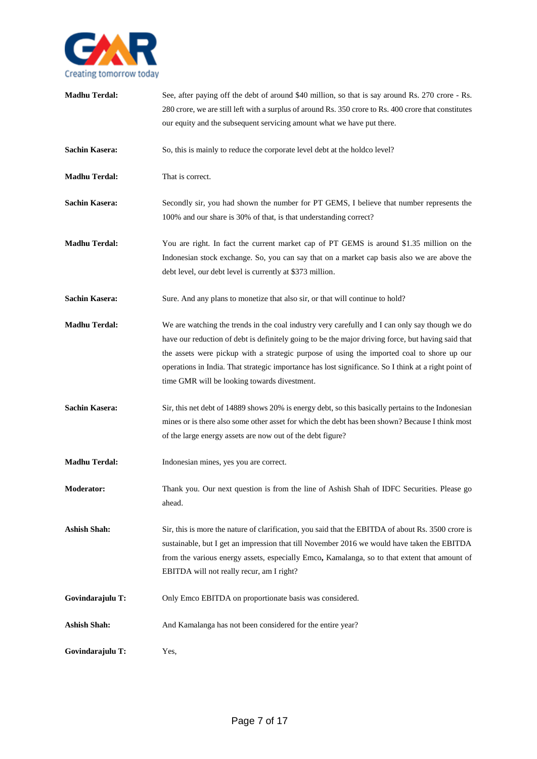

| <b>Madhu Terdal:</b>  | See, after paying off the debt of around \$40 million, so that is say around Rs. 270 crore - Rs.<br>280 crore, we are still left with a surplus of around Rs. 350 crore to Rs. 400 crore that constitutes<br>our equity and the subsequent servicing amount what we have put there.                                                                                                                                                                        |
|-----------------------|------------------------------------------------------------------------------------------------------------------------------------------------------------------------------------------------------------------------------------------------------------------------------------------------------------------------------------------------------------------------------------------------------------------------------------------------------------|
| <b>Sachin Kasera:</b> | So, this is mainly to reduce the corporate level debt at the holdco level?                                                                                                                                                                                                                                                                                                                                                                                 |
| <b>Madhu Terdal:</b>  | That is correct.                                                                                                                                                                                                                                                                                                                                                                                                                                           |
| <b>Sachin Kasera:</b> | Secondly sir, you had shown the number for PT GEMS, I believe that number represents the<br>100% and our share is 30% of that, is that understanding correct?                                                                                                                                                                                                                                                                                              |
| <b>Madhu Terdal:</b>  | You are right. In fact the current market cap of PT GEMS is around \$1.35 million on the<br>Indonesian stock exchange. So, you can say that on a market cap basis also we are above the<br>debt level, our debt level is currently at \$373 million.                                                                                                                                                                                                       |
| <b>Sachin Kasera:</b> | Sure. And any plans to monetize that also sir, or that will continue to hold?                                                                                                                                                                                                                                                                                                                                                                              |
| <b>Madhu Terdal:</b>  | We are watching the trends in the coal industry very carefully and I can only say though we do<br>have our reduction of debt is definitely going to be the major driving force, but having said that<br>the assets were pickup with a strategic purpose of using the imported coal to shore up our<br>operations in India. That strategic importance has lost significance. So I think at a right point of<br>time GMR will be looking towards divestment. |
| <b>Sachin Kasera:</b> | Sir, this net debt of 14889 shows 20% is energy debt, so this basically pertains to the Indonesian<br>mines or is there also some other asset for which the debt has been shown? Because I think most<br>of the large energy assets are now out of the debt figure?                                                                                                                                                                                        |
| <b>Madhu Terdal:</b>  | Indonesian mines, yes you are correct.                                                                                                                                                                                                                                                                                                                                                                                                                     |
| <b>Moderator:</b>     | Thank you. Our next question is from the line of Ashish Shah of IDFC Securities. Please go<br>ahead.                                                                                                                                                                                                                                                                                                                                                       |
| <b>Ashish Shah:</b>   | Sir, this is more the nature of clarification, you said that the EBITDA of about Rs. 3500 crore is<br>sustainable, but I get an impression that till November 2016 we would have taken the EBITDA<br>from the various energy assets, especially Emco, Kamalanga, so to that extent that amount of<br>EBITDA will not really recur, am I right?                                                                                                             |
| Govindarajulu T:      | Only Emco EBITDA on proportionate basis was considered.                                                                                                                                                                                                                                                                                                                                                                                                    |
| <b>Ashish Shah:</b>   | And Kamalanga has not been considered for the entire year?                                                                                                                                                                                                                                                                                                                                                                                                 |
| Govindarajulu T:      | Yes,                                                                                                                                                                                                                                                                                                                                                                                                                                                       |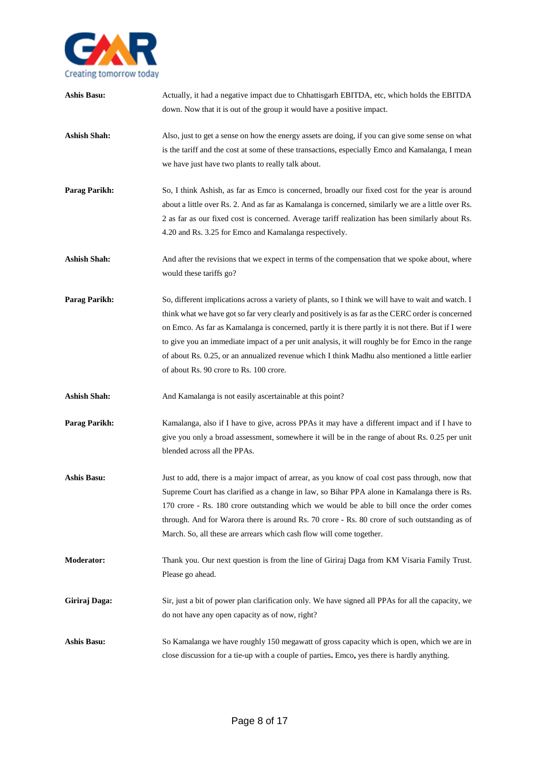

| <b>Ashis Basu:</b>   | Actually, it had a negative impact due to Chhattisgarh EBITDA, etc, which holds the EBITDA<br>down. Now that it is out of the group it would have a positive impact.                                                                                                                                                                                                                                                                                                                                                                                               |
|----------------------|--------------------------------------------------------------------------------------------------------------------------------------------------------------------------------------------------------------------------------------------------------------------------------------------------------------------------------------------------------------------------------------------------------------------------------------------------------------------------------------------------------------------------------------------------------------------|
| <b>Ashish Shah:</b>  | Also, just to get a sense on how the energy assets are doing, if you can give some sense on what<br>is the tariff and the cost at some of these transactions, especially Emco and Kamalanga, I mean<br>we have just have two plants to really talk about.                                                                                                                                                                                                                                                                                                          |
| <b>Parag Parikh:</b> | So, I think Ashish, as far as Emco is concerned, broadly our fixed cost for the year is around<br>about a little over Rs. 2. And as far as Kamalanga is concerned, similarly we are a little over Rs.<br>2 as far as our fixed cost is concerned. Average tariff realization has been similarly about Rs.<br>4.20 and Rs. 3.25 for Emco and Kamalanga respectively.                                                                                                                                                                                                |
| <b>Ashish Shah:</b>  | And after the revisions that we expect in terms of the compensation that we spoke about, where<br>would these tariffs go?                                                                                                                                                                                                                                                                                                                                                                                                                                          |
| <b>Parag Parikh:</b> | So, different implications across a variety of plants, so I think we will have to wait and watch. I<br>think what we have got so far very clearly and positively is as far as the CERC order is concerned<br>on Emco. As far as Kamalanga is concerned, partly it is there partly it is not there. But if I were<br>to give you an immediate impact of a per unit analysis, it will roughly be for Emco in the range<br>of about Rs. 0.25, or an annualized revenue which I think Madhu also mentioned a little earlier<br>of about Rs. 90 crore to Rs. 100 crore. |
| <b>Ashish Shah:</b>  | And Kamalanga is not easily ascertainable at this point?                                                                                                                                                                                                                                                                                                                                                                                                                                                                                                           |
| Parag Parikh:        | Kamalanga, also if I have to give, across PPAs it may have a different impact and if I have to<br>give you only a broad assessment, somewhere it will be in the range of about Rs. 0.25 per unit<br>blended across all the PPAs.                                                                                                                                                                                                                                                                                                                                   |
| <b>Ashis Basu:</b>   | Just to add, there is a major impact of arrear, as you know of coal cost pass through, now that<br>Supreme Court has clarified as a change in law, so Bihar PPA alone in Kamalanga there is Rs.<br>170 crore - Rs. 180 crore outstanding which we would be able to bill once the order comes<br>through. And for Warora there is around Rs. 70 crore - Rs. 80 crore of such outstanding as of<br>March. So, all these are arrears which cash flow will come together.                                                                                              |
| <b>Moderator:</b>    | Thank you. Our next question is from the line of Giriraj Daga from KM Visaria Family Trust.<br>Please go ahead.                                                                                                                                                                                                                                                                                                                                                                                                                                                    |
| Giriraj Daga:        | Sir, just a bit of power plan clarification only. We have signed all PPAs for all the capacity, we<br>do not have any open capacity as of now, right?                                                                                                                                                                                                                                                                                                                                                                                                              |
| <b>Ashis Basu:</b>   | So Kamalanga we have roughly 150 megawatt of gross capacity which is open, which we are in<br>close discussion for a tie-up with a couple of parties. Emco, yes there is hardly anything.                                                                                                                                                                                                                                                                                                                                                                          |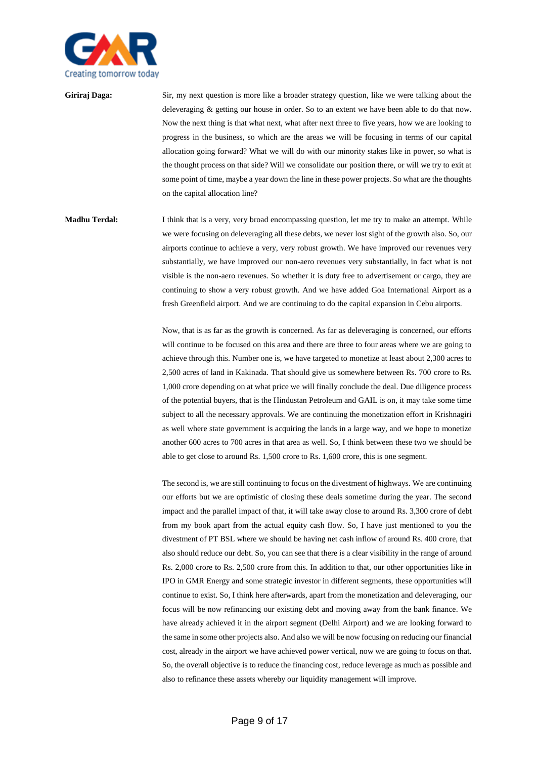

**Giriraj Daga:** Sir, my next question is more like a broader strategy question, like we were talking about the deleveraging & getting our house in order. So to an extent we have been able to do that now. Now the next thing is that what next, what after next three to five years, how we are looking to progress in the business, so which are the areas we will be focusing in terms of our capital allocation going forward? What we will do with our minority stakes like in power, so what is the thought process on that side? Will we consolidate our position there, or will we try to exit at some point of time, maybe a year down the line in these power projects. So what are the thoughts on the capital allocation line?

**Madhu Terdal:** I think that is a very, very broad encompassing question, let me try to make an attempt. While we were focusing on deleveraging all these debts, we never lost sight of the growth also. So, our airports continue to achieve a very, very robust growth. We have improved our revenues very substantially, we have improved our non-aero revenues very substantially, in fact what is not visible is the non-aero revenues. So whether it is duty free to advertisement or cargo, they are continuing to show a very robust growth. And we have added Goa International Airport as a fresh Greenfield airport. And we are continuing to do the capital expansion in Cebu airports.

> Now, that is as far as the growth is concerned. As far as deleveraging is concerned, our efforts will continue to be focused on this area and there are three to four areas where we are going to achieve through this. Number one is, we have targeted to monetize at least about 2,300 acres to 2,500 acres of land in Kakinada. That should give us somewhere between Rs. 700 crore to Rs. 1,000 crore depending on at what price we will finally conclude the deal. Due diligence process of the potential buyers, that is the Hindustan Petroleum and GAIL is on, it may take some time subject to all the necessary approvals. We are continuing the monetization effort in Krishnagiri as well where state government is acquiring the lands in a large way, and we hope to monetize another 600 acres to 700 acres in that area as well. So, I think between these two we should be able to get close to around Rs. 1,500 crore to Rs. 1,600 crore, this is one segment.

> The second is, we are still continuing to focus on the divestment of highways. We are continuing our efforts but we are optimistic of closing these deals sometime during the year. The second impact and the parallel impact of that, it will take away close to around Rs. 3,300 crore of debt from my book apart from the actual equity cash flow. So, I have just mentioned to you the divestment of PT BSL where we should be having net cash inflow of around Rs. 400 crore, that also should reduce our debt. So, you can see that there is a clear visibility in the range of around Rs. 2,000 crore to Rs. 2,500 crore from this. In addition to that, our other opportunities like in IPO in GMR Energy and some strategic investor in different segments, these opportunities will continue to exist. So, I think here afterwards, apart from the monetization and deleveraging, our focus will be now refinancing our existing debt and moving away from the bank finance. We have already achieved it in the airport segment (Delhi Airport) and we are looking forward to the same in some other projects also. And also we will be now focusing on reducing our financial cost, already in the airport we have achieved power vertical, now we are going to focus on that. So, the overall objective is to reduce the financing cost, reduce leverage as much as possible and also to refinance these assets whereby our liquidity management will improve.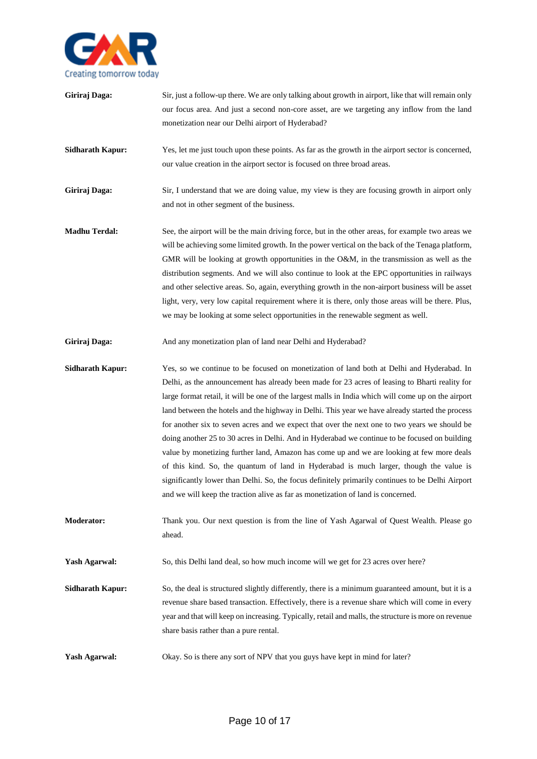

- **Giriraj Daga:** Sir, just a follow-up there. We are only talking about growth in airport, like that will remain only our focus area. And just a second non-core asset, are we targeting any inflow from the land monetization near our Delhi airport of Hyderabad? **Sidharath Kapur:** Yes, let me just touch upon these points. As far as the growth in the airport sector is concerned, our value creation in the airport sector is focused on three broad areas. **Giriraj Daga:** Sir, I understand that we are doing value, my view is they are focusing growth in airport only and not in other segment of the business. **Madhu Terdal:** See, the airport will be the main driving force, but in the other areas, for example two areas we will be achieving some limited growth. In the power vertical on the back of the Tenaga platform, GMR will be looking at growth opportunities in the O&M, in the transmission as well as the distribution segments. And we will also continue to look at the EPC opportunities in railways and other selective areas. So, again, everything growth in the non-airport business will be asset light, very, very low capital requirement where it is there, only those areas will be there. Plus, we may be looking at some select opportunities in the renewable segment as well. Giriraj Daga: And any monetization plan of land near Delhi and Hyderabad? **Sidharath Kapur:** Yes, so we continue to be focused on monetization of land both at Delhi and Hyderabad. In Delhi, as the announcement has already been made for 23 acres of leasing to Bharti reality for large format retail, it will be one of the largest malls in India which will come up on the airport land between the hotels and the highway in Delhi. This year we have already started the process for another six to seven acres and we expect that over the next one to two years we should be doing another 25 to 30 acres in Delhi. And in Hyderabad we continue to be focused on building value by monetizing further land, Amazon has come up and we are looking at few more deals of this kind. So, the quantum of land in Hyderabad is much larger, though the value is significantly lower than Delhi. So, the focus definitely primarily continues to be Delhi Airport and we will keep the traction alive as far as monetization of land is concerned. **Moderator:** Thank you. Our next question is from the line of Yash Agarwal of Quest Wealth. Please go ahead. **Yash Agarwal:** So, this Delhi land deal, so how much income will we get for 23 acres over here?
- **Sidharath Kapur:** So, the deal is structured slightly differently, there is a minimum guaranteed amount, but it is a revenue share based transaction. Effectively, there is a revenue share which will come in every year and that will keep on increasing. Typically, retail and malls, the structure is more on revenue share basis rather than a pure rental.
- **Yash Agarwal:** Okay. So is there any sort of NPV that you guys have kept in mind for later?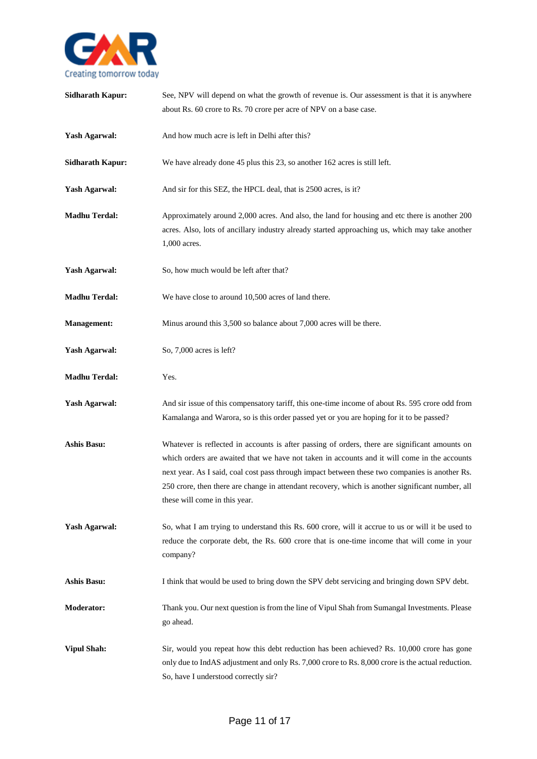

| <b>Sidharath Kapur:</b> | See, NPV will depend on what the growth of revenue is. Our assessment is that it is anywhere<br>about Rs. 60 crore to Rs. 70 crore per acre of NPV on a base case.                                                                                                                                                                                                                                                                    |
|-------------------------|---------------------------------------------------------------------------------------------------------------------------------------------------------------------------------------------------------------------------------------------------------------------------------------------------------------------------------------------------------------------------------------------------------------------------------------|
| <b>Yash Agarwal:</b>    | And how much acre is left in Delhi after this?                                                                                                                                                                                                                                                                                                                                                                                        |
| <b>Sidharath Kapur:</b> | We have already done 45 plus this 23, so another 162 acres is still left.                                                                                                                                                                                                                                                                                                                                                             |
| <b>Yash Agarwal:</b>    | And sir for this SEZ, the HPCL deal, that is 2500 acres, is it?                                                                                                                                                                                                                                                                                                                                                                       |
| <b>Madhu Terdal:</b>    | Approximately around 2,000 acres. And also, the land for housing and etc there is another 200<br>acres. Also, lots of ancillary industry already started approaching us, which may take another<br>1,000 acres.                                                                                                                                                                                                                       |
| <b>Yash Agarwal:</b>    | So, how much would be left after that?                                                                                                                                                                                                                                                                                                                                                                                                |
| <b>Madhu Terdal:</b>    | We have close to around 10,500 acres of land there.                                                                                                                                                                                                                                                                                                                                                                                   |
| <b>Management:</b>      | Minus around this 3,500 so balance about 7,000 acres will be there.                                                                                                                                                                                                                                                                                                                                                                   |
| <b>Yash Agarwal:</b>    | So, 7,000 acres is left?                                                                                                                                                                                                                                                                                                                                                                                                              |
| <b>Madhu Terdal:</b>    | Yes.                                                                                                                                                                                                                                                                                                                                                                                                                                  |
| <b>Yash Agarwal:</b>    | And sir issue of this compensatory tariff, this one-time income of about Rs. 595 crore odd from<br>Kamalanga and Warora, so is this order passed yet or you are hoping for it to be passed?                                                                                                                                                                                                                                           |
| <b>Ashis Basu:</b>      | Whatever is reflected in accounts is after passing of orders, there are significant amounts on<br>which orders are awaited that we have not taken in accounts and it will come in the accounts<br>next year. As I said, coal cost pass through impact between these two companies is another Rs.<br>250 crore, then there are change in attendant recovery, which is another significant number, all<br>these will come in this year. |
| <b>Yash Agarwal:</b>    | So, what I am trying to understand this Rs. 600 crore, will it accrue to us or will it be used to<br>reduce the corporate debt, the Rs. 600 crore that is one-time income that will come in your<br>company?                                                                                                                                                                                                                          |
| <b>Ashis Basu:</b>      | I think that would be used to bring down the SPV debt servicing and bringing down SPV debt.                                                                                                                                                                                                                                                                                                                                           |
| <b>Moderator:</b>       | Thank you. Our next question is from the line of Vipul Shah from Sumangal Investments. Please<br>go ahead.                                                                                                                                                                                                                                                                                                                            |
| <b>Vipul Shah:</b>      | Sir, would you repeat how this debt reduction has been achieved? Rs. 10,000 crore has gone<br>only due to IndAS adjustment and only Rs. 7,000 crore to Rs. 8,000 crore is the actual reduction.<br>So, have I understood correctly sir?                                                                                                                                                                                               |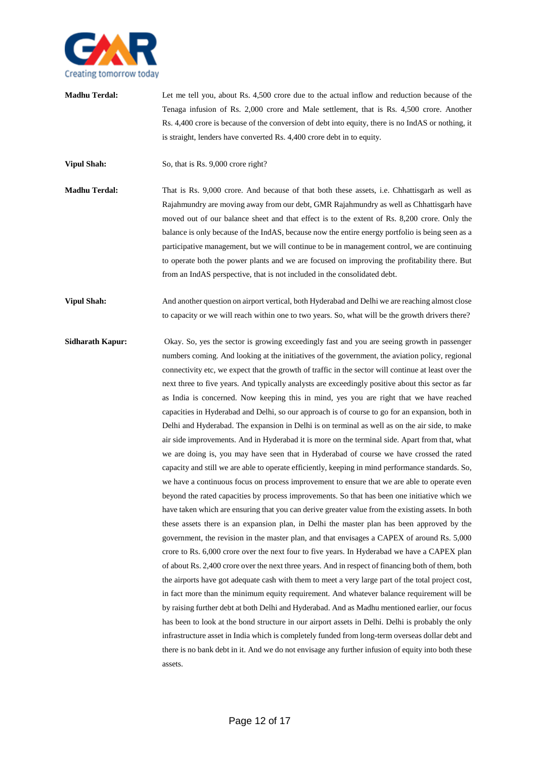

**Madhu Terdal:** Let me tell you, about Rs. 4,500 crore due to the actual inflow and reduction because of the Tenaga infusion of Rs. 2,000 crore and Male settlement, that is Rs. 4,500 crore. Another Rs. 4,400 crore is because of the conversion of debt into equity, there is no IndAS or nothing, it is straight, lenders have converted Rs. 4,400 crore debt in to equity.

**Vipul Shah:** So, that is Rs. 9,000 crore right?

- **Madhu Terdal:** That is Rs. 9,000 crore. And because of that both these assets, i.e. Chhattisgarh as well as Rajahmundry are moving away from our debt, GMR Rajahmundry as well as Chhattisgarh have moved out of our balance sheet and that effect is to the extent of Rs. 8,200 crore. Only the balance is only because of the IndAS, because now the entire energy portfolio is being seen as a participative management, but we will continue to be in management control, we are continuing to operate both the power plants and we are focused on improving the profitability there. But from an IndAS perspective, that is not included in the consolidated debt.
- **Vipul Shah:** And another question on airport vertical, both Hyderabad and Delhi we are reaching almost close to capacity or we will reach within one to two years. So, what will be the growth drivers there?
- **Sidharath Kapur:** Okay. So, yes the sector is growing exceedingly fast and you are seeing growth in passenger numbers coming. And looking at the initiatives of the government, the aviation policy, regional connectivity etc, we expect that the growth of traffic in the sector will continue at least over the next three to five years. And typically analysts are exceedingly positive about this sector as far as India is concerned. Now keeping this in mind, yes you are right that we have reached capacities in Hyderabad and Delhi, so our approach is of course to go for an expansion, both in Delhi and Hyderabad. The expansion in Delhi is on terminal as well as on the air side, to make air side improvements. And in Hyderabad it is more on the terminal side. Apart from that, what we are doing is, you may have seen that in Hyderabad of course we have crossed the rated capacity and still we are able to operate efficiently, keeping in mind performance standards. So, we have a continuous focus on process improvement to ensure that we are able to operate even beyond the rated capacities by process improvements. So that has been one initiative which we have taken which are ensuring that you can derive greater value from the existing assets. In both these assets there is an expansion plan, in Delhi the master plan has been approved by the government, the revision in the master plan, and that envisages a CAPEX of around Rs. 5,000 crore to Rs. 6,000 crore over the next four to five years. In Hyderabad we have a CAPEX plan of about Rs. 2,400 crore over the next three years. And in respect of financing both of them, both the airports have got adequate cash with them to meet a very large part of the total project cost, in fact more than the minimum equity requirement. And whatever balance requirement will be by raising further debt at both Delhi and Hyderabad. And as Madhu mentioned earlier, our focus has been to look at the bond structure in our airport assets in Delhi. Delhi is probably the only infrastructure asset in India which is completely funded from long-term overseas dollar debt and there is no bank debt in it. And we do not envisage any further infusion of equity into both these assets.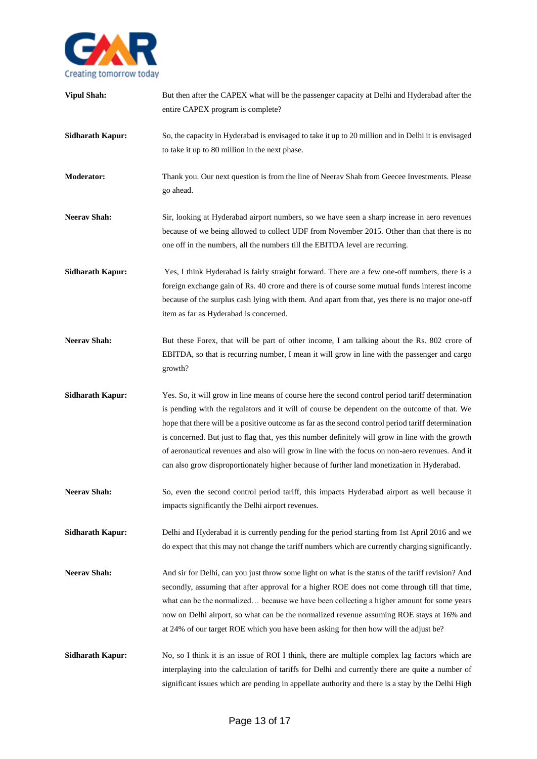

| <b>Vipul Shah:</b>      | But then after the CAPEX what will be the passenger capacity at Delhi and Hyderabad after the<br>entire CAPEX program is complete?                                                                                                                                                                                                                                                                                                                                                                                                                                                                             |
|-------------------------|----------------------------------------------------------------------------------------------------------------------------------------------------------------------------------------------------------------------------------------------------------------------------------------------------------------------------------------------------------------------------------------------------------------------------------------------------------------------------------------------------------------------------------------------------------------------------------------------------------------|
| <b>Sidharath Kapur:</b> | So, the capacity in Hyderabad is envisaged to take it up to 20 million and in Delhi it is envisaged<br>to take it up to 80 million in the next phase.                                                                                                                                                                                                                                                                                                                                                                                                                                                          |
| Moderator:              | Thank you. Our next question is from the line of Neerav Shah from Geecee Investments. Please<br>go ahead.                                                                                                                                                                                                                                                                                                                                                                                                                                                                                                      |
| <b>Neerav Shah:</b>     | Sir, looking at Hyderabad airport numbers, so we have seen a sharp increase in aero revenues<br>because of we being allowed to collect UDF from November 2015. Other than that there is no<br>one off in the numbers, all the numbers till the EBITDA level are recurring.                                                                                                                                                                                                                                                                                                                                     |
| <b>Sidharath Kapur:</b> | Yes, I think Hyderabad is fairly straight forward. There are a few one-off numbers, there is a<br>foreign exchange gain of Rs. 40 crore and there is of course some mutual funds interest income<br>because of the surplus cash lying with them. And apart from that, yes there is no major one-off<br>item as far as Hyderabad is concerned.                                                                                                                                                                                                                                                                  |
| <b>Neerav Shah:</b>     | But these Forex, that will be part of other income, I am talking about the Rs. 802 crore of<br>EBITDA, so that is recurring number, I mean it will grow in line with the passenger and cargo<br>growth?                                                                                                                                                                                                                                                                                                                                                                                                        |
| <b>Sidharath Kapur:</b> | Yes. So, it will grow in line means of course here the second control period tariff determination<br>is pending with the regulators and it will of course be dependent on the outcome of that. We<br>hope that there will be a positive outcome as far as the second control period tariff determination<br>is concerned. But just to flag that, yes this number definitely will grow in line with the growth<br>of aeronautical revenues and also will grow in line with the focus on non-aero revenues. And it<br>can also grow disproportionately higher because of further land monetization in Hyderabad. |
| <b>Neerav Shah:</b>     | So, even the second control period tariff, this impacts Hyderabad airport as well because it<br>impacts significantly the Delhi airport revenues.                                                                                                                                                                                                                                                                                                                                                                                                                                                              |
| <b>Sidharath Kapur:</b> | Delhi and Hyderabad it is currently pending for the period starting from 1st April 2016 and we<br>do expect that this may not change the tariff numbers which are currently charging significantly.                                                                                                                                                                                                                                                                                                                                                                                                            |
| <b>Neerav Shah:</b>     | And sir for Delhi, can you just throw some light on what is the status of the tariff revision? And<br>secondly, assuming that after approval for a higher ROE does not come through till that time,<br>what can be the normalized because we have been collecting a higher amount for some years<br>now on Delhi airport, so what can be the normalized revenue assuming ROE stays at 16% and<br>at 24% of our target ROE which you have been asking for then how will the adjust be?                                                                                                                          |
| <b>Sidharath Kapur:</b> | No, so I think it is an issue of ROI I think, there are multiple complex lag factors which are<br>interplaying into the calculation of tariffs for Delhi and currently there are quite a number of<br>significant issues which are pending in appellate authority and there is a stay by the Delhi High                                                                                                                                                                                                                                                                                                        |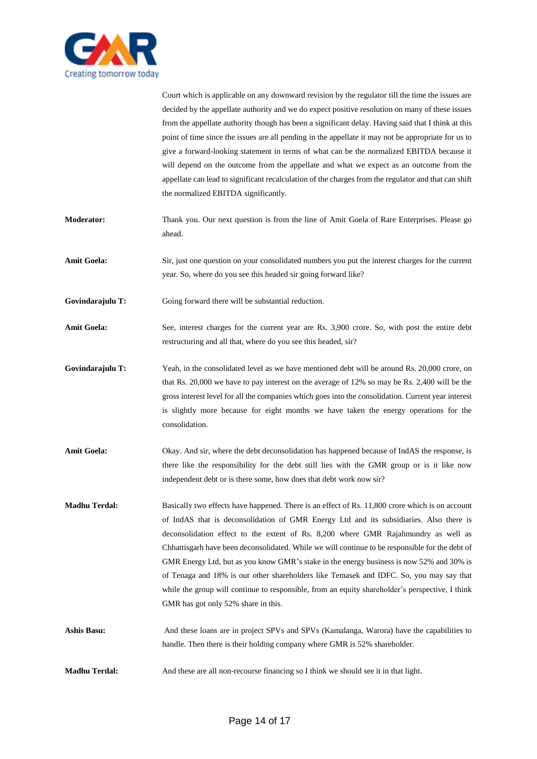

Court which is applicable on any downward revision by the regulator till the time the issues are decided by the appellate authority and we do expect positive resolution on many of these issues from the appellate authority though has been a significant delay. Having said that I think at this point of time since the issues are all pending in the appellate it may not be appropriate for us to give a forward-looking statement in terms of what can be the normalized EBITDA because it will depend on the outcome from the appellate and what we expect as an outcome from the appellate can lead to significant recalculation of the charges from the regulator and that can shift the normalized EBITDA significantly.

- **Moderator:** Thank you. Our next question is from the line of Amit Goela of Rare Enterprises. Please go ahead.
- **Amit Goela:** Sir, just one question on your consolidated numbers you put the interest charges for the current year. So, where do you see this headed sir going forward like?
- Govindarajulu T: Going forward there will be substantial reduction.
- **Amit Goela:** See, interest charges for the current year are Rs. 3,900 crore. So, with post the entire debt restructuring and all that, where do you see this headed, sir?
- Govindarajulu T: Yeah, in the consolidated level as we have mentioned debt will be around Rs. 20,000 crore, on that Rs. 20,000 we have to pay interest on the average of 12% so may be Rs. 2,400 will be the gross interest level for all the companies which goes into the consolidation. Current year interest is slightly more because for eight months we have taken the energy operations for the consolidation.
- **Amit Goela:** Okay. And sir, where the debt deconsolidation has happened because of IndAS the response, is there like the responsibility for the debt still lies with the GMR group or is it like now independent debt or is there some, how does that debt work now sir?
- **Madhu Terdal:** Basically two effects have happened. There is an effect of Rs. 11,800 crore which is on account of IndAS that is deconsolidation of GMR Energy Ltd and its subsidiaries. Also there is deconsolidation effect to the extent of Rs. 8,200 where GMR Rajahmundry as well as Chhattisgarh have been deconsolidated. While we will continue to be responsible for the debt of GMR Energy Ltd, but as you know GMR's stake in the energy business is now 52% and 30% is of Tenaga and 18% is our other shareholders like Temasek and IDFC. So, you may say that while the group will continue to responsible, from an equity shareholder's perspective, I think GMR has got only 52% share in this.
- **Ashis Basu:** And these loans are in project SPVs and SPVs (Kamalanga, Warora) have the capabilities to handle. Then there is their holding company where GMR is 52% shareholder.
- **Madhu Terdal:** And these are all non-recourse financing so I think we should see it in that light.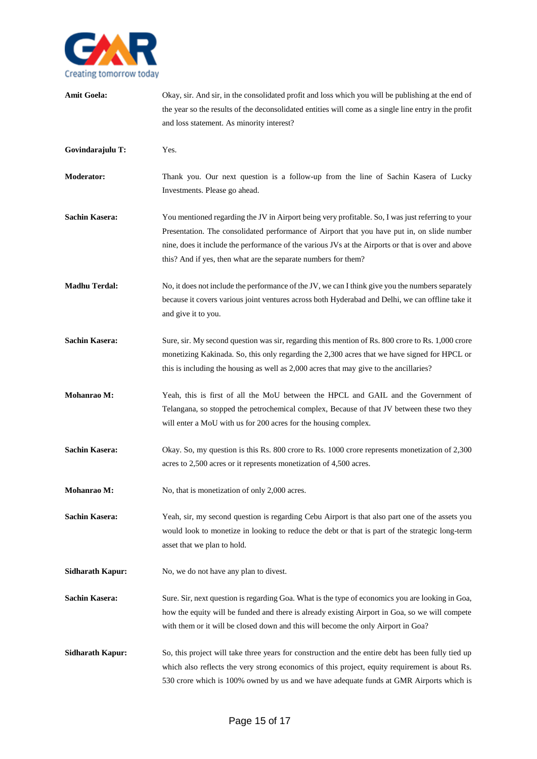

| <b>Amit Goela:</b>      | Okay, sir. And sir, in the consolidated profit and loss which you will be publishing at the end of<br>the year so the results of the deconsolidated entities will come as a single line entry in the profit<br>and loss statement. As minority interest?                                                                                                                 |
|-------------------------|--------------------------------------------------------------------------------------------------------------------------------------------------------------------------------------------------------------------------------------------------------------------------------------------------------------------------------------------------------------------------|
| Govindarajulu T:        | Yes.                                                                                                                                                                                                                                                                                                                                                                     |
| <b>Moderator:</b>       | Thank you. Our next question is a follow-up from the line of Sachin Kasera of Lucky<br>Investments. Please go ahead.                                                                                                                                                                                                                                                     |
| <b>Sachin Kasera:</b>   | You mentioned regarding the JV in Airport being very profitable. So, I was just referring to your<br>Presentation. The consolidated performance of Airport that you have put in, on slide number<br>nine, does it include the performance of the various JVs at the Airports or that is over and above<br>this? And if yes, then what are the separate numbers for them? |
| <b>Madhu Terdal:</b>    | No, it does not include the performance of the JV, we can I think give you the numbers separately<br>because it covers various joint ventures across both Hyderabad and Delhi, we can offline take it<br>and give it to you.                                                                                                                                             |
| <b>Sachin Kasera:</b>   | Sure, sir. My second question was sir, regarding this mention of Rs. 800 crore to Rs. 1,000 crore<br>monetizing Kakinada. So, this only regarding the 2,300 acres that we have signed for HPCL or<br>this is including the housing as well as 2,000 acres that may give to the ancillaries?                                                                              |
| Mohanrao M:             | Yeah, this is first of all the MoU between the HPCL and GAIL and the Government of<br>Telangana, so stopped the petrochemical complex, Because of that JV between these two they<br>will enter a MoU with us for 200 acres for the housing complex.                                                                                                                      |
| <b>Sachin Kasera:</b>   | Okay. So, my question is this Rs. 800 crore to Rs. 1000 crore represents monetization of 2,300<br>acres to 2,500 acres or it represents monetization of 4,500 acres.                                                                                                                                                                                                     |
| <b>Mohanrao M:</b>      | No, that is monetization of only 2,000 acres.                                                                                                                                                                                                                                                                                                                            |
| <b>Sachin Kasera:</b>   | Yeah, sir, my second question is regarding Cebu Airport is that also part one of the assets you<br>would look to monetize in looking to reduce the debt or that is part of the strategic long-term<br>asset that we plan to hold.                                                                                                                                        |
| <b>Sidharath Kapur:</b> | No, we do not have any plan to divest.                                                                                                                                                                                                                                                                                                                                   |
| <b>Sachin Kasera:</b>   | Sure. Sir, next question is regarding Goa. What is the type of economics you are looking in Goa,<br>how the equity will be funded and there is already existing Airport in Goa, so we will compete<br>with them or it will be closed down and this will become the only Airport in Goa?                                                                                  |
| <b>Sidharath Kapur:</b> | So, this project will take three years for construction and the entire debt has been fully tied up<br>which also reflects the very strong economics of this project, equity requirement is about Rs.<br>530 crore which is 100% owned by us and we have adequate funds at GMR Airports which is                                                                          |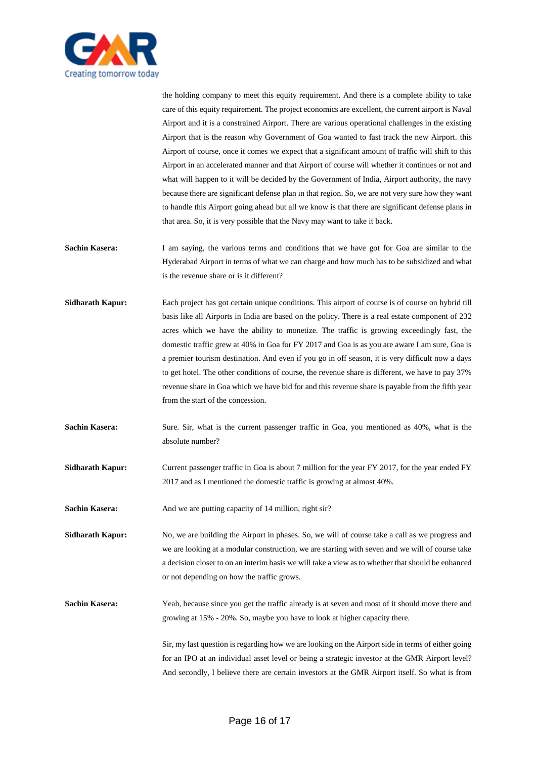

the holding company to meet this equity requirement. And there is a complete ability to take care of this equity requirement. The project economics are excellent, the current airport is Naval Airport and it is a constrained Airport. There are various operational challenges in the existing Airport that is the reason why Government of Goa wanted to fast track the new Airport. this Airport of course, once it comes we expect that a significant amount of traffic will shift to this Airport in an accelerated manner and that Airport of course will whether it continues or not and what will happen to it will be decided by the Government of India, Airport authority, the navy because there are significant defense plan in that region. So, we are not very sure how they want to handle this Airport going ahead but all we know is that there are significant defense plans in that area. So, it is very possible that the Navy may want to take it back.

- **Sachin Kasera:** I am saying, the various terms and conditions that we have got for Goa are similar to the Hyderabad Airport in terms of what we can charge and how much has to be subsidized and what is the revenue share or is it different?
- **Sidharath Kapur:** Each project has got certain unique conditions. This airport of course is of course on hybrid till basis like all Airports in India are based on the policy. There is a real estate component of 232 acres which we have the ability to monetize. The traffic is growing exceedingly fast, the domestic traffic grew at 40% in Goa for FY 2017 and Goa is as you are aware I am sure, Goa is a premier tourism destination. And even if you go in off season, it is very difficult now a days to get hotel. The other conditions of course, the revenue share is different, we have to pay 37% revenue share in Goa which we have bid for and this revenue share is payable from the fifth year from the start of the concession.
- **Sachin Kasera:** Sure. Sir, what is the current passenger traffic in Goa, you mentioned as 40%, what is the absolute number?
- **Sidharath Kapur:** Current passenger traffic in Goa is about 7 million for the year FY 2017, for the year ended FY 2017 and as I mentioned the domestic traffic is growing at almost 40%.
- **Sachin Kasera:** And we are putting capacity of 14 million, right sir?

**Sidharath Kapur:** No, we are building the Airport in phases. So, we will of course take a call as we progress and we are looking at a modular construction, we are starting with seven and we will of course take a decision closer to on an interim basis we will take a view as to whether that should be enhanced or not depending on how the traffic grows.

**Sachin Kasera:** Yeah, because since you get the traffic already is at seven and most of it should move there and growing at 15% - 20%. So, maybe you have to look at higher capacity there.

> Sir, my last question is regarding how we are looking on the Airport side in terms of either going for an IPO at an individual asset level or being a strategic investor at the GMR Airport level? And secondly, I believe there are certain investors at the GMR Airport itself. So what is from